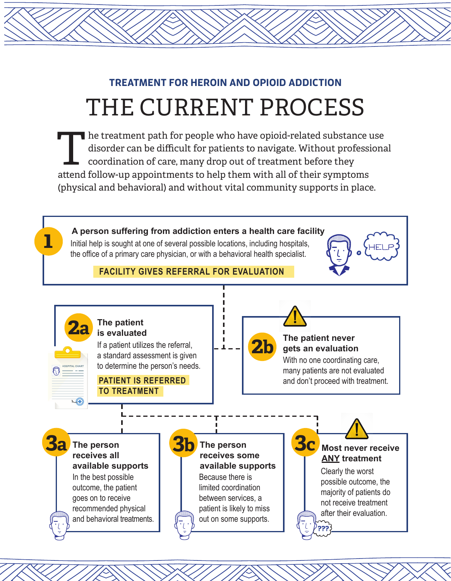## THE CURRENT PROCESS **TREATMENT FOR HEROIN AND OPIOID ADDICTION**

The treatment path for people who have opioid-related substance use<br>disorder can be difficult for patients to navigate. Without professions<br>coordination of care, many drop out of treatment before they<br>attend follow up appo disorder can be difficult for patients to navigate. Without professional coordination of care, many drop out of treatment before they attend follow-up appointments to help them with all of their symptoms (physical and behavioral) and without vital community supports in place.